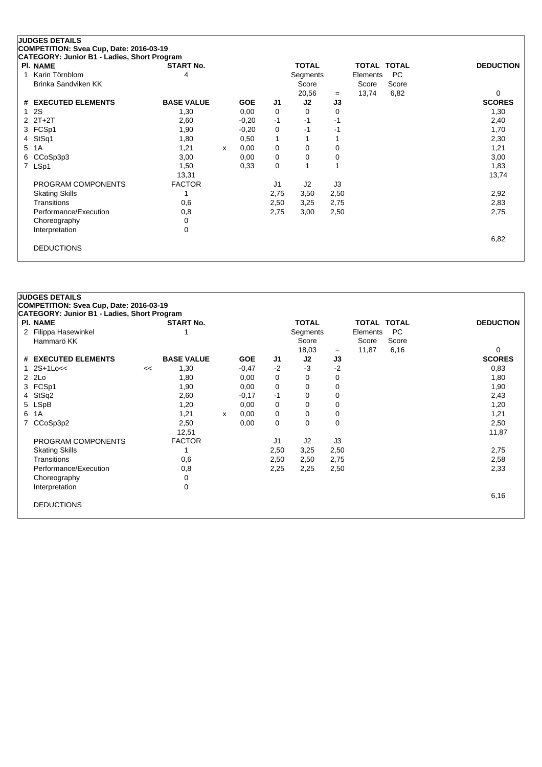|    | <b>JUDGES DETAILS</b>                       |                   |              |            |      |              |          |                    |       |                  |
|----|---------------------------------------------|-------------------|--------------|------------|------|--------------|----------|--------------------|-------|------------------|
|    | COMPETITION: Svea Cup, Date: 2016-03-19     |                   |              |            |      |              |          |                    |       |                  |
|    | CATEGORY: Junior B1 - Ladies, Short Program |                   |              |            |      |              |          |                    |       |                  |
|    | <b>PI. NAME</b>                             | <b>START No.</b>  |              |            |      | <b>TOTAL</b> |          | <b>TOTAL TOTAL</b> |       | <b>DEDUCTION</b> |
| 1  | Karin Törnblom                              | 4                 |              |            |      | Segments     |          | Elements           | PC    |                  |
|    | Brinka Sandviken KK                         |                   |              |            |      | Score        |          | Score              | Score |                  |
|    |                                             |                   |              |            |      | 20,56        | $=$      | 13,74              | 6,82  | $\Omega$         |
| #  | <b>EXECUTED ELEMENTS</b>                    | <b>BASE VALUE</b> |              | <b>GOE</b> | J1   | J2           | J3       |                    |       | <b>SCORES</b>    |
|    | 2S                                          | 1,30              |              | 0,00       | 0    | $\Omega$     | 0        |                    |       | 1,30             |
| 2  | $2T+2T$                                     | 2,60              |              | $-0,20$    | $-1$ | -1           | -1       |                    |       | 2,40             |
| 3  | FCSp1                                       | 1,90              |              | $-0,20$    | 0    | $-1$         | -1       |                    |       | 1,70             |
| 4  | StSq1                                       | 1,80              |              | 0,50       | 1    |              |          |                    |       | 2,30             |
| 5. | 1A                                          | 1,21              | $\mathsf{x}$ | 0,00       | 0    | 0            | 0        |                    |       | 1,21             |
| 6  | CCoSp3p3                                    | 3,00              |              | 0,00       | 0    | 0            | $\Omega$ |                    |       | 3,00             |
| 7  | LSp1                                        | 1,50              |              | 0.33       | 0    |              |          |                    |       | 1,83             |
|    |                                             | 13,31             |              |            |      |              |          |                    |       | 13,74            |
|    | PROGRAM COMPONENTS                          | <b>FACTOR</b>     |              |            | J1   | J2           | J3       |                    |       |                  |
|    | <b>Skating Skills</b>                       |                   |              |            | 2,75 | 3,50         | 2,50     |                    |       | 2,92             |
|    | Transitions                                 | 0,6               |              |            | 2,50 | 3,25         | 2,75     |                    |       | 2,83             |
|    | Performance/Execution                       | 0,8               |              |            | 2,75 | 3,00         | 2,50     |                    |       | 2,75             |
|    | Choreography                                | 0                 |              |            |      |              |          |                    |       |                  |
|    | Interpretation                              | 0                 |              |            |      |              |          |                    |       |                  |
|    |                                             |                   |              |            |      |              |          |                    |       | 6,82             |
|    | <b>DEDUCTIONS</b>                           |                   |              |            |      |              |          |                    |       |                  |
|    |                                             |                   |              |            |      |              |          |                    |       |                  |

|   | <b>JUDGES DETAILS</b><br>COMPETITION: Svea Cup, Date: 2016-03-19 |    |                   |   |            |                |              |      |             |       |                  |
|---|------------------------------------------------------------------|----|-------------------|---|------------|----------------|--------------|------|-------------|-------|------------------|
|   | CATEGORY: Junior B1 - Ladies, Short Program                      |    |                   |   |            |                |              |      |             |       |                  |
|   | <b>PI. NAME</b>                                                  |    | <b>START No.</b>  |   |            |                | <b>TOTAL</b> |      | TOTAL TOTAL |       | <b>DEDUCTION</b> |
| 2 | Filippa Hasewinkel                                               |    |                   |   |            |                | Segments     |      | Elements    | PC.   |                  |
|   | Hammarö KK                                                       |    |                   |   |            |                | Score        |      | Score       | Score |                  |
|   |                                                                  |    |                   |   |            |                | 18,03        | $=$  | 11,87       | 6,16  | 0                |
|   | # EXECUTED ELEMENTS                                              |    | <b>BASE VALUE</b> |   | <b>GOE</b> | J1             | J2           | J3   |             |       | <b>SCORES</b>    |
| 1 | $2S+1Loc<$                                                       | << | 1,30              |   | $-0,47$    | $-2$           | -3           | $-2$ |             |       | 0,83             |
|   | $2$ $2Lo$                                                        |    | 1,80              |   | 0,00       | 0              | 0            | 0    |             |       | 1,80             |
|   | 3 FCSp1                                                          |    | 1,90              |   | 0,00       | 0              | 0            | 0    |             |       | 1,90             |
| 4 | StSq2                                                            |    | 2,60              |   | $-0,17$    | $-1$           | 0            | 0    |             |       | 2,43             |
|   | 5 LSpB                                                           |    | 1,20              |   | 0,00       | 0              | 0            | 0    |             |       | 1,20             |
| 6 | 1A                                                               |    | 1,21              | X | 0,00       | 0              | 0            | 0    |             |       | 1,21             |
| 7 | CCoSp3p2                                                         |    | 2,50              |   | 0,00       | 0              | 0            | 0    |             |       | 2,50             |
|   |                                                                  |    | 12,51             |   |            |                |              |      |             |       | 11,87            |
|   | PROGRAM COMPONENTS                                               |    | <b>FACTOR</b>     |   |            | J <sub>1</sub> | J2           | J3   |             |       |                  |
|   | <b>Skating Skills</b>                                            |    |                   |   |            | 2,50           | 3,25         | 2,50 |             |       | 2,75             |
|   | <b>Transitions</b>                                               |    | 0,6               |   |            | 2,50           | 2,50         | 2,75 |             |       | 2,58             |
|   | Performance/Execution                                            |    | 0,8               |   |            | 2,25           | 2,25         | 2,50 |             |       | 2,33             |
|   | Choreography                                                     |    | 0                 |   |            |                |              |      |             |       |                  |
|   | Interpretation                                                   |    | 0                 |   |            |                |              |      |             |       |                  |
|   |                                                                  |    |                   |   |            |                |              |      |             |       | 6,16             |
|   | <b>DEDUCTIONS</b>                                                |    |                   |   |            |                |              |      |             |       |                  |
|   |                                                                  |    |                   |   |            |                |              |      |             |       |                  |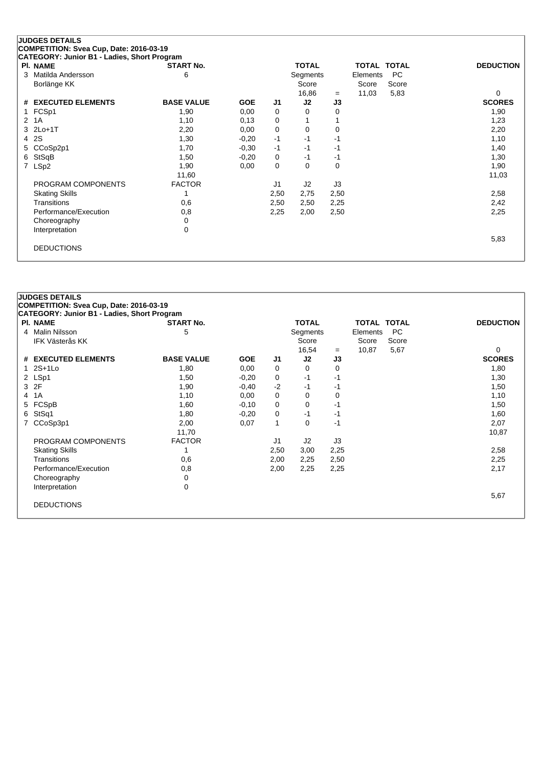## **JUDGES DETAILS**

**COMPETITION: Svea Cup, Date: 2016-03-19**

| CATEGORY: Junior B1 - Ladies, Short Program |                   |            |                |                |          |                    |       |                  |
|---------------------------------------------|-------------------|------------|----------------|----------------|----------|--------------------|-------|------------------|
| <b>PI. NAME</b>                             | <b>START No.</b>  |            |                | <b>TOTAL</b>   |          | <b>TOTAL TOTAL</b> |       | <b>DEDUCTION</b> |
| 3 Matilda Andersson                         | 6                 |            |                | Segments       |          | Elements           | PC    |                  |
| Borlänge KK                                 |                   |            |                | Score          |          | Score              | Score |                  |
|                                             |                   |            |                | 16,86          | $=$      | 11,03              | 5,83  | 0                |
| # EXECUTED ELEMENTS                         | <b>BASE VALUE</b> | <b>GOE</b> | J <sub>1</sub> | J2             | J3       |                    |       | <b>SCORES</b>    |
| 1 FCSp1                                     | 1,90              | 0,00       | 0              | 0              | 0        |                    |       | 1,90             |
| 2 1A                                        | 1,10              | 0,13       | 0              |                |          |                    |       | 1,23             |
| 3 2Lo+1T                                    | 2,20              | 0,00       | 0              | 0              | 0        |                    |       | 2,20             |
| 4 2S                                        | 1,30              | $-0,20$    | $-1$           | -1             | -1       |                    |       | 1,10             |
| 5 CCoSp2p1                                  | 1,70              | $-0.30$    | $-1$           | -1             | -1       |                    |       | 1,40             |
| 6 StSqB                                     | 1,50              | $-0,20$    | 0              | -1             | -1       |                    |       | 1,30             |
| 7 LSp2                                      | 1,90              | 0,00       | 0              | 0              | $\Omega$ |                    |       | 1,90             |
|                                             | 11,60             |            |                |                |          |                    |       | 11,03            |
| PROGRAM COMPONENTS                          | <b>FACTOR</b>     |            | J1             | J <sub>2</sub> | J3       |                    |       |                  |
| <b>Skating Skills</b>                       |                   |            | 2,50           | 2,75           | 2,50     |                    |       | 2,58             |
| Transitions                                 | 0,6               |            | 2,50           | 2,50           | 2,25     |                    |       | 2,42             |
| Performance/Execution                       | 0,8               |            | 2,25           | 2,00           | 2,50     |                    |       | 2,25             |
| Choreography                                | 0                 |            |                |                |          |                    |       |                  |
| Interpretation                              | 0                 |            |                |                |          |                    |       |                  |
|                                             |                   |            |                |                |          |                    |       | 5,83             |
| <b>DEDUCTIONS</b>                           |                   |            |                |                |          |                    |       |                  |
|                                             |                   |            |                |                |          |                    |       |                  |

|                       |                                                                                                                                                                                                                                                                    |                                                                                                                                                                                               |                               |                              |                                                           |                                                    |                | <b>DEDUCTION</b>                                             |
|-----------------------|--------------------------------------------------------------------------------------------------------------------------------------------------------------------------------------------------------------------------------------------------------------------|-----------------------------------------------------------------------------------------------------------------------------------------------------------------------------------------------|-------------------------------|------------------------------|-----------------------------------------------------------|----------------------------------------------------|----------------|--------------------------------------------------------------|
|                       |                                                                                                                                                                                                                                                                    |                                                                                                                                                                                               |                               |                              |                                                           |                                                    |                |                                                              |
|                       |                                                                                                                                                                                                                                                                    |                                                                                                                                                                                               |                               |                              |                                                           |                                                    |                |                                                              |
|                       |                                                                                                                                                                                                                                                                    |                                                                                                                                                                                               |                               |                              |                                                           |                                                    |                | $\Omega$                                                     |
|                       |                                                                                                                                                                                                                                                                    |                                                                                                                                                                                               |                               |                              |                                                           |                                                    |                | <b>SCORES</b>                                                |
|                       |                                                                                                                                                                                                                                                                    |                                                                                                                                                                                               |                               |                              |                                                           |                                                    |                | 1,80                                                         |
|                       |                                                                                                                                                                                                                                                                    |                                                                                                                                                                                               |                               | -1                           | -1                                                        |                                                    |                | 1,30                                                         |
|                       | 1,90                                                                                                                                                                                                                                                               | $-0,40$                                                                                                                                                                                       | $-2$                          | -1                           | -1                                                        |                                                    |                | 1,50                                                         |
|                       | 1,10                                                                                                                                                                                                                                                               | 0,00                                                                                                                                                                                          | 0                             | 0                            | 0                                                         |                                                    |                | 1,10                                                         |
|                       | 1,60                                                                                                                                                                                                                                                               | $-0,10$                                                                                                                                                                                       | 0                             | 0                            | -1                                                        |                                                    |                | 1,50                                                         |
|                       | 1,80                                                                                                                                                                                                                                                               | $-0,20$                                                                                                                                                                                       | 0                             | $-1$                         | -1                                                        |                                                    |                | 1,60                                                         |
|                       | 2,00                                                                                                                                                                                                                                                               | 0,07                                                                                                                                                                                          | 1                             | 0                            | $-1$                                                      |                                                    |                | 2,07                                                         |
|                       | 11,70                                                                                                                                                                                                                                                              |                                                                                                                                                                                               |                               |                              |                                                           |                                                    |                | 10,87                                                        |
| PROGRAM COMPONENTS    | <b>FACTOR</b>                                                                                                                                                                                                                                                      |                                                                                                                                                                                               | J1                            | J <sub>2</sub>               | J3                                                        |                                                    |                |                                                              |
| <b>Skating Skills</b> |                                                                                                                                                                                                                                                                    |                                                                                                                                                                                               | 2,50                          | 3,00                         |                                                           |                                                    |                | 2,58                                                         |
| <b>Transitions</b>    |                                                                                                                                                                                                                                                                    |                                                                                                                                                                                               |                               |                              |                                                           |                                                    |                | 2,25                                                         |
|                       |                                                                                                                                                                                                                                                                    |                                                                                                                                                                                               |                               |                              |                                                           |                                                    |                | 2,17                                                         |
|                       |                                                                                                                                                                                                                                                                    |                                                                                                                                                                                               |                               |                              |                                                           |                                                    |                |                                                              |
|                       |                                                                                                                                                                                                                                                                    |                                                                                                                                                                                               |                               |                              |                                                           |                                                    |                |                                                              |
|                       |                                                                                                                                                                                                                                                                    |                                                                                                                                                                                               |                               |                              |                                                           |                                                    |                | 5,67                                                         |
|                       |                                                                                                                                                                                                                                                                    |                                                                                                                                                                                               |                               |                              |                                                           |                                                    |                |                                                              |
|                       |                                                                                                                                                                                                                                                                    |                                                                                                                                                                                               |                               |                              |                                                           |                                                    |                |                                                              |
| 4<br>6                | <b>JUDGES DETAILS</b><br><b>PI. NAME</b><br>4 Malin Nilsson<br><b>IFK Västerås KK</b><br># EXECUTED ELEMENTS<br>1 2S+1Lo<br>2 LSp1<br>3 2F<br>1A<br>5 FCSpB<br>StSq1<br>7 CCoSp3p1<br>Performance/Execution<br>Choreography<br>Interpretation<br><b>DEDUCTIONS</b> | COMPETITION: Svea Cup, Date: 2016-03-19<br><b>CATEGORY: Junior B1 - Ladies, Short Program</b><br><b>START No.</b><br>5<br><b>BASE VALUE</b><br>1,80<br>1,50<br>0,6<br>0,8<br>0<br>$\mathbf 0$ | <b>GOE</b><br>0,00<br>$-0,20$ | J1<br>0<br>0<br>2,00<br>2,00 | <b>TOTAL</b><br>Score<br>16,54<br>J2<br>0<br>2,25<br>2,25 | Segments<br>$=$<br>J3<br>0<br>2,25<br>2,50<br>2,25 | Score<br>10,87 | <b>TOTAL TOTAL</b><br><b>PC</b><br>Elements<br>Score<br>5,67 |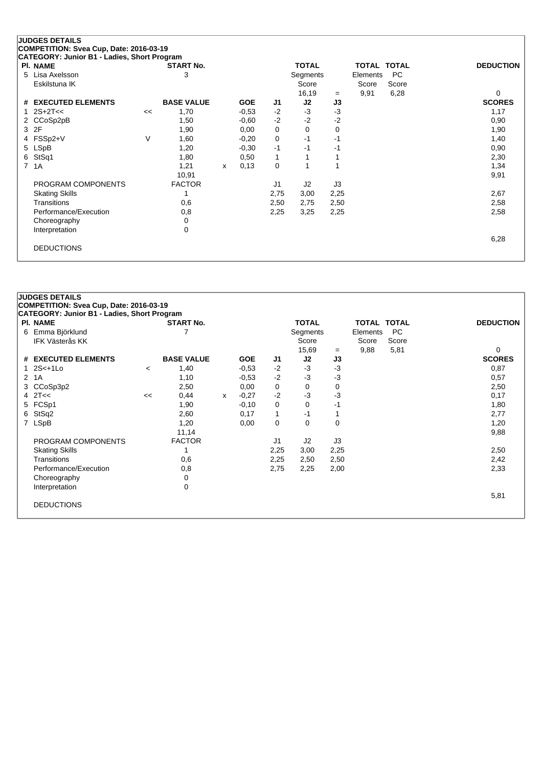## **JUDGES DETAILS**

**COMPETITION: Svea Cup, Date: 2016-03-19**

| CATEGORY: Junior B1 - Ladies, Short Program |    |                   |   |            |                |                |      |                    |       |                  |
|---------------------------------------------|----|-------------------|---|------------|----------------|----------------|------|--------------------|-------|------------------|
| <b>PI. NAME</b>                             |    | <b>START No.</b>  |   |            |                | <b>TOTAL</b>   |      | <b>TOTAL TOTAL</b> |       | <b>DEDUCTION</b> |
| 5 Lisa Axelsson                             |    | 3                 |   |            |                | Segments       |      | Elements           | PC    |                  |
| Eskilstuna IK                               |    |                   |   |            |                | Score          |      | Score              | Score |                  |
|                                             |    |                   |   |            |                | 16,19          | $=$  | 9,91               | 6,28  | 0                |
| # EXECUTED ELEMENTS                         |    | <b>BASE VALUE</b> |   | <b>GOE</b> | J1             | J2             | J3   |                    |       | <b>SCORES</b>    |
| 1 $2S+2T<<$                                 | << | 1,70              |   | $-0.53$    | $-2$           | $-3$           | $-3$ |                    |       | 1,17             |
| 2 CCoSp2pB                                  |    | 1,50              |   | $-0.60$    | $-2$           | $-2$           | -2   |                    |       | 0,90             |
| 3 2F                                        |    | 1,90              |   | 0,00       | 0              | $\mathbf 0$    | 0    |                    |       | 1,90             |
| 4 FSSp2+V                                   | V  | 1,60              |   | $-0,20$    | 0              | -1             | -1   |                    |       | 1,40             |
| 5 LSpB                                      |    | 1,20              |   | $-0.30$    | $-1$           | -1             | -1   |                    |       | 0,90             |
| 6 StSq1                                     |    | 1,80              |   | 0,50       | 1              |                |      |                    |       | 2,30             |
| 7 1A                                        |    | 1,21              | x | 0,13       | 0              |                |      |                    |       | 1,34             |
|                                             |    | 10,91             |   |            |                |                |      |                    |       | 9,91             |
| PROGRAM COMPONENTS                          |    | <b>FACTOR</b>     |   |            | J <sub>1</sub> | J <sub>2</sub> | J3   |                    |       |                  |
| <b>Skating Skills</b>                       |    |                   |   |            | 2,75           | 3,00           | 2,25 |                    |       | 2,67             |
| Transitions                                 |    | 0,6               |   |            | 2,50           | 2,75           | 2,50 |                    |       | 2,58             |
| Performance/Execution                       |    | 0,8               |   |            | 2,25           | 3,25           | 2,25 |                    |       | 2,58             |
| Choreography                                |    | 0                 |   |            |                |                |      |                    |       |                  |
| Interpretation                              |    | 0                 |   |            |                |                |      |                    |       |                  |
|                                             |    |                   |   |            |                |                |      |                    |       | 6,28             |
| <b>DEDUCTIONS</b>                           |    |                   |   |            |                |                |      |                    |       |                  |
|                                             |    |                   |   |            |                |                |      |                    |       |                  |

| <b>JUDGES DETAILS</b>                                                 |         |                   |   |            |      |              |          |                    |           |                  |
|-----------------------------------------------------------------------|---------|-------------------|---|------------|------|--------------|----------|--------------------|-----------|------------------|
| COMPETITION: Svea Cup, Date: 2016-03-19                               |         |                   |   |            |      |              |          |                    |           |                  |
| <b>CATEGORY: Junior B1 - Ladies, Short Program</b><br><b>PI. NAME</b> |         | <b>START No.</b>  |   |            |      | <b>TOTAL</b> |          | <b>TOTAL TOTAL</b> |           | <b>DEDUCTION</b> |
| 6 Emma Björklund                                                      |         |                   |   |            |      | Segments     |          | Elements           | <b>PC</b> |                  |
| <b>IFK Västerås KK</b>                                                |         |                   |   |            |      | Score        |          | Score              | Score     |                  |
|                                                                       |         |                   |   |            |      | 15,69        | $=$      | 9,88               | 5,81      | $\Omega$         |
| # EXECUTED ELEMENTS                                                   |         | <b>BASE VALUE</b> |   | <b>GOE</b> | J1   | J2           | J3       |                    |           | <b>SCORES</b>    |
| 1 2S<+1Lo                                                             | $\,<\,$ | 1,40              |   | $-0.53$    | $-2$ | $-3$         | $-3$     |                    |           | 0,87             |
| 2 1A                                                                  |         | 1,10              |   | $-0.53$    | $-2$ | $-3$         | $-3$     |                    |           | 0,57             |
| 3 CCoSp3p2                                                            |         | 2,50              |   | 0,00       | 0    | 0            | 0        |                    |           | 2,50             |
| $4$ $2$ T<<                                                           | <<      | 0,44              | X | $-0,27$    | $-2$ | $-3$         | $-3$     |                    |           | 0,17             |
| 5 FCSp1                                                               |         | 1,90              |   | $-0,10$    | 0    | $\Omega$     | $-1$     |                    |           | 1,80             |
| 6 StSq2                                                               |         | 2,60              |   | 0,17       | 1    | -1           |          |                    |           | 2,77             |
| 7 LSpB                                                                |         | 1,20              |   | 0,00       | 0    | $\Omega$     | $\Omega$ |                    |           | 1,20             |
|                                                                       |         | 11,14             |   |            |      |              |          |                    |           | 9,88             |
| PROGRAM COMPONENTS                                                    |         | <b>FACTOR</b>     |   |            | J1   | J2           | J3       |                    |           |                  |
| <b>Skating Skills</b>                                                 |         |                   |   |            | 2,25 | 3,00         | 2,25     |                    |           | 2,50             |
| Transitions                                                           |         | 0,6               |   |            | 2,25 | 2,50         | 2,50     |                    |           | 2,42             |
| Performance/Execution                                                 |         | 0,8               |   |            | 2,75 | 2,25         | 2,00     |                    |           | 2,33             |
| Choreography                                                          |         | 0                 |   |            |      |              |          |                    |           |                  |
| Interpretation                                                        |         | 0                 |   |            |      |              |          |                    |           |                  |
|                                                                       |         |                   |   |            |      |              |          |                    |           | 5,81             |
| <b>DEDUCTIONS</b>                                                     |         |                   |   |            |      |              |          |                    |           |                  |
|                                                                       |         |                   |   |            |      |              |          |                    |           |                  |